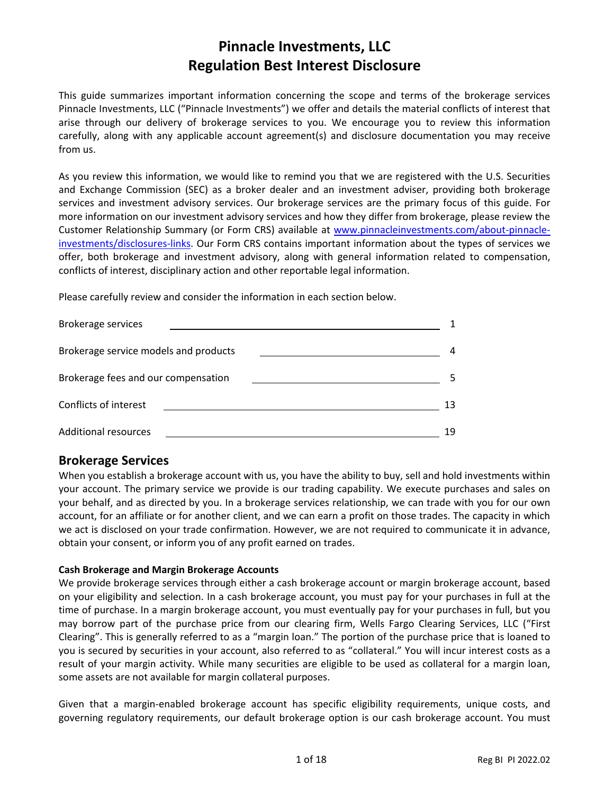# **Pinnacle Investments, LLC Regulation Best Interest Disclosure**

This guide summarizes important information concerning the scope and terms of the brokerage services Pinnacle Investments, LLC ("Pinnacle Investments") we offer and details the material conflicts of interest that arise through our delivery of brokerage services to you. We encourage you to review this information carefully, along with any applicable account agreement(s) and disclosure documentation you may receive from us.

As you review this information, we would like to remind you that we are registered with the U.S. Securities and Exchange Commission (SEC) as a broker dealer and an investment adviser, providing both brokerage services and investment advisory services. Our brokerage services are the primary focus of this guide. For more information on our investment advisory services and how they differ from brokerage, please review the Customer Relationship Summary (or Form CRS) available at [www.pinnacleinvestments.com/about-pinnacle](http://www.pinnacleinvestments.com/about-pinnacle-investments/disclosures-links)[investments/disclosures-links.](http://www.pinnacleinvestments.com/about-pinnacle-investments/disclosures-links) Our Form CRS contains important information about the types of services we offer, both brokerage and investment advisory, along with general information related to compensation, conflicts of interest, disciplinary action and other reportable legal information.

Please carefully review and consider the information in each section below.



### **Brokerage Services**

When you establish a brokerage account with us, you have the ability to buy, sell and hold investments within your account. The primary service we provide is our trading capability. We execute purchases and sales on your behalf, and as directed by you. In a brokerage services relationship, we can trade with you for our own account, for an affiliate or for another client, and we can earn a profit on those trades. The capacity in which we act is disclosed on your trade confirmation. However, we are not required to communicate it in advance, obtain your consent, or inform you of any profit earned on trades.

### **Cash Brokerage and Margin Brokerage Accounts**

We provide brokerage services through either a cash brokerage account or margin brokerage account, based on your eligibility and selection. In a cash brokerage account, you must pay for your purchases in full at the time of purchase. In a margin brokerage account, you must eventually pay for your purchases in full, but you may borrow part of the purchase price from our clearing firm, Wells Fargo Clearing Services, LLC ("First Clearing". This is generally referred to as a "margin loan." The portion of the purchase price that is loaned to you is secured by securities in your account, also referred to as "collateral." You will incur interest costs as a result of your margin activity. While many securities are eligible to be used as collateral for a margin loan, some assets are not available for margin collateral purposes.

Given that a margin-enabled brokerage account has specific eligibility requirements, unique costs, and governing regulatory requirements, our default brokerage option is our cash brokerage account. You must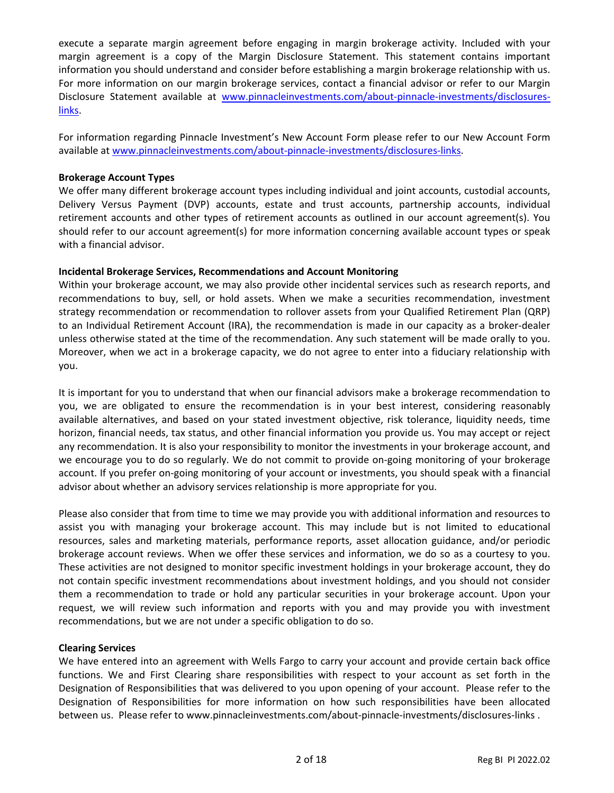execute a separate margin agreement before engaging in margin brokerage activity. Included with your margin agreement is a copy of the Margin Disclosure Statement. This statement contains important information you should understand and consider before establishing a margin brokerage relationship with us. For more information on our margin brokerage services, contact a financial advisor or refer to our Margin Disclosure Statement available at [www.pinnacleinvestments.com/about-pinnacle-investments/disclosures](http://www.pinnacleinvestments.com/about-pinnacle-investments/disclosures-links)[links.](http://www.pinnacleinvestments.com/about-pinnacle-investments/disclosures-links)

For information regarding Pinnacle Investment's New Account Form please refer to our New Account Form available at [www.pinnacleinvestments.com/about-pinnacle-investments/disclosures-links.](http://www.pinnacleinvestments.com/about-pinnacle-investments/disclosures-links)

### **Brokerage Account Types**

We offer many different brokerage account types including individual and joint accounts, custodial accounts, Delivery Versus Payment (DVP) accounts, estate and trust accounts, partnership accounts, individual retirement accounts and other types of retirement accounts as outlined in our account agreement(s). You should refer to our account agreement(s) for more information concerning available account types or speak with a financial advisor.

### **Incidental Brokerage Services, Recommendations and Account Monitoring**

Within your brokerage account, we may also provide other incidental services such as research reports, and recommendations to buy, sell, or hold assets. When we make a securities recommendation, investment strategy recommendation or recommendation to rollover assets from your Qualified Retirement Plan (QRP) to an Individual Retirement Account (IRA), the recommendation is made in our capacity as a broker-dealer unless otherwise stated at the time of the recommendation. Any such statement will be made orally to you. Moreover, when we act in a brokerage capacity, we do not agree to enter into a fiduciary relationship with you.

It is important for you to understand that when our financial advisors make a brokerage recommendation to you, we are obligated to ensure the recommendation is in your best interest, considering reasonably available alternatives, and based on your stated investment objective, risk tolerance, liquidity needs, time horizon, financial needs, tax status, and other financial information you provide us. You may accept or reject any recommendation. It is also your responsibility to monitor the investments in your brokerage account, and we encourage you to do so regularly. We do not commit to provide on-going monitoring of your brokerage account. If you prefer on-going monitoring of your account or investments, you should speak with a financial advisor about whether an advisory services relationship is more appropriate for you.

Please also consider that from time to time we may provide you with additional information and resources to assist you with managing your brokerage account. This may include but is not limited to educational resources, sales and marketing materials, performance reports, asset allocation guidance, and/or periodic brokerage account reviews. When we offer these services and information, we do so as a courtesy to you. These activities are not designed to monitor specific investment holdings in your brokerage account, they do not contain specific investment recommendations about investment holdings, and you should not consider them a recommendation to trade or hold any particular securities in your brokerage account. Upon your request, we will review such information and reports with you and may provide you with investment recommendations, but we are not under a specific obligation to do so.

### **Clearing Services**

We have entered into an agreement with Wells Fargo to carry your account and provide certain back office functions. We and First Clearing share responsibilities with respect to your account as set forth in the Designation of Responsibilities that was delivered to you upon opening of your account. Please refer to the Designation of Responsibilities for more information on how such responsibilities have been allocated between us. Please refer to www.pinnacleinvestments.com/about-pinnacle-investments/disclosures-links .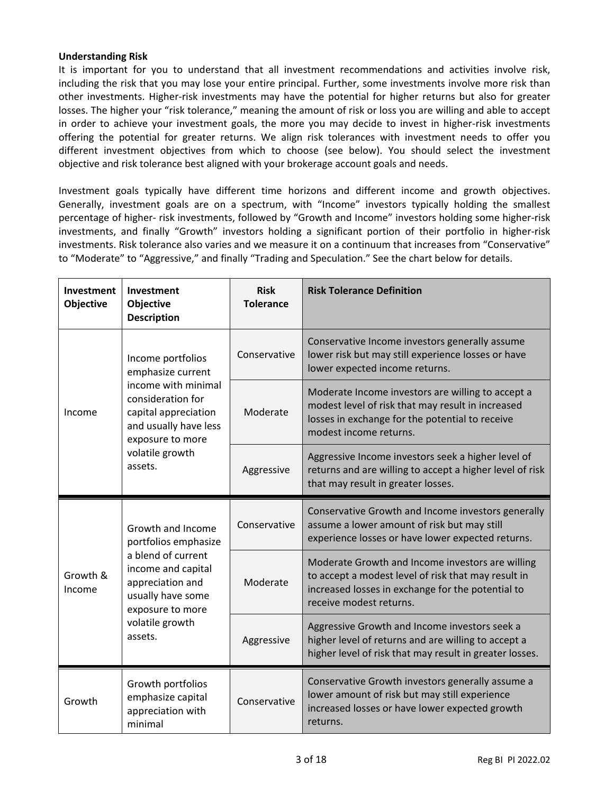### **Understanding Risk**

It is important for you to understand that all investment recommendations and activities involve risk, including the risk that you may lose your entire principal. Further, some investments involve more risk than other investments. Higher-risk investments may have the potential for higher returns but also for greater losses. The higher your "risk tolerance," meaning the amount of risk or loss you are willing and able to accept in order to achieve your investment goals, the more you may decide to invest in higher-risk investments offering the potential for greater returns. We align risk tolerances with investment needs to offer you different investment objectives from which to choose (see below). You should select the investment objective and risk tolerance best aligned with your brokerage account goals and needs.

Investment goals typically have different time horizons and different income and growth objectives. Generally, investment goals are on a spectrum, with "Income" investors typically holding the smallest percentage of higher- risk investments, followed by "Growth and Income" investors holding some higher-risk investments, and finally "Growth" investors holding a significant portion of their portfolio in higher-risk investments. Risk tolerance also varies and we measure it on a continuum that increases from "Conservative" to "Moderate" to "Aggressive," and finally "Trading and Speculation." See the chart below for details.

| Investment<br>Objective | Investment<br><b>Objective</b><br><b>Description</b>                                                                                                                                  | <b>Risk</b><br><b>Tolerance</b> | <b>Risk Tolerance Definition</b>                                                                                                                                                        |
|-------------------------|---------------------------------------------------------------------------------------------------------------------------------------------------------------------------------------|---------------------------------|-----------------------------------------------------------------------------------------------------------------------------------------------------------------------------------------|
| Income                  | Income portfolios<br>emphasize current<br>income with minimal<br>consideration for<br>capital appreciation<br>and usually have less<br>exposure to more<br>volatile growth<br>assets. | Conservative                    | Conservative Income investors generally assume<br>lower risk but may still experience losses or have<br>lower expected income returns.                                                  |
|                         |                                                                                                                                                                                       | Moderate                        | Moderate Income investors are willing to accept a<br>modest level of risk that may result in increased<br>losses in exchange for the potential to receive<br>modest income returns.     |
|                         |                                                                                                                                                                                       | Aggressive                      | Aggressive Income investors seek a higher level of<br>returns and are willing to accept a higher level of risk<br>that may result in greater losses.                                    |
| Growth &<br>Income      | Growth and Income<br>portfolios emphasize<br>a blend of current<br>income and capital<br>appreciation and<br>usually have some<br>exposure to more<br>volatile growth<br>assets.      | Conservative                    | Conservative Growth and Income investors generally<br>assume a lower amount of risk but may still<br>experience losses or have lower expected returns.                                  |
|                         |                                                                                                                                                                                       | Moderate                        | Moderate Growth and Income investors are willing<br>to accept a modest level of risk that may result in<br>increased losses in exchange for the potential to<br>receive modest returns. |
|                         |                                                                                                                                                                                       | Aggressive                      | Aggressive Growth and Income investors seek a<br>higher level of returns and are willing to accept a<br>higher level of risk that may result in greater losses.                         |
| Growth                  | Growth portfolios<br>emphasize capital<br>appreciation with<br>minimal                                                                                                                | Conservative                    | Conservative Growth investors generally assume a<br>lower amount of risk but may still experience<br>increased losses or have lower expected growth<br>returns.                         |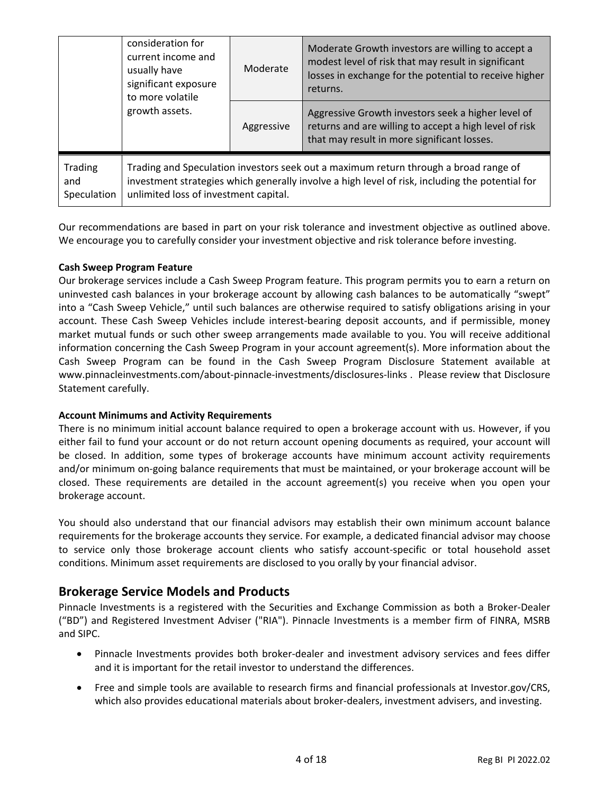|                               | consideration for<br>current income and<br>usually have<br>significant exposure<br>to more volatile                                                                                                                              | Moderate                                                                                                                                                    | Moderate Growth investors are willing to accept a<br>modest level of risk that may result in significant<br>losses in exchange for the potential to receive higher<br>returns. |  |
|-------------------------------|----------------------------------------------------------------------------------------------------------------------------------------------------------------------------------------------------------------------------------|-------------------------------------------------------------------------------------------------------------------------------------------------------------|--------------------------------------------------------------------------------------------------------------------------------------------------------------------------------|--|
| growth assets.                | Aggressive                                                                                                                                                                                                                       | Aggressive Growth investors seek a higher level of<br>returns and are willing to accept a high level of risk<br>that may result in more significant losses. |                                                                                                                                                                                |  |
| Trading<br>and<br>Speculation | Trading and Speculation investors seek out a maximum return through a broad range of<br>investment strategies which generally involve a high level of risk, including the potential for<br>unlimited loss of investment capital. |                                                                                                                                                             |                                                                                                                                                                                |  |

Our recommendations are based in part on your risk tolerance and investment objective as outlined above. We encourage you to carefully consider your investment objective and risk tolerance before investing.

### **Cash Sweep Program Feature**

Our brokerage services include a Cash Sweep Program feature. This program permits you to earn a return on uninvested cash balances in your brokerage account by allowing cash balances to be automatically "swept" into a "Cash Sweep Vehicle," until such balances are otherwise required to satisfy obligations arising in your account. These Cash Sweep Vehicles include interest-bearing deposit accounts, and if permissible, money market mutual funds or such other sweep arrangements made available to you. You will receive additional information concerning the Cash Sweep Program in your account agreement(s). More information about the Cash Sweep Program can be found in the Cash Sweep Program Disclosure Statement available at www.pinnacleinvestments.com/about-pinnacle-investments/disclosures-links . Please review that Disclosure Statement carefully.

### **Account Minimums and Activity Requirements**

There is no minimum initial account balance required to open a brokerage account with us. However, if you either fail to fund your account or do not return account opening documents as required, your account will be closed. In addition, some types of brokerage accounts have minimum account activity requirements and/or minimum on-going balance requirements that must be maintained, or your brokerage account will be closed. These requirements are detailed in the account agreement(s) you receive when you open your brokerage account.

You should also understand that our financial advisors may establish their own minimum account balance requirements for the brokerage accounts they service. For example, a dedicated financial advisor may choose to service only those brokerage account clients who satisfy account-specific or total household asset conditions. Minimum asset requirements are disclosed to you orally by your financial advisor.

### **Brokerage Service Models and Products**

Pinnacle Investments is a registered with the Securities and Exchange Commission as both a Broker-Dealer ("BD") and Registered Investment Adviser ("RIA"). Pinnacle Investments is a member firm of FINRA, MSRB and SIPC.

- Pinnacle Investments provides both broker-dealer and investment advisory services and fees differ and it is important for the retail investor to understand the differences.
- Free and simple tools are available to research firms and financial professionals at Investor.gov/CRS, which also provides educational materials about broker-dealers, investment advisers, and investing.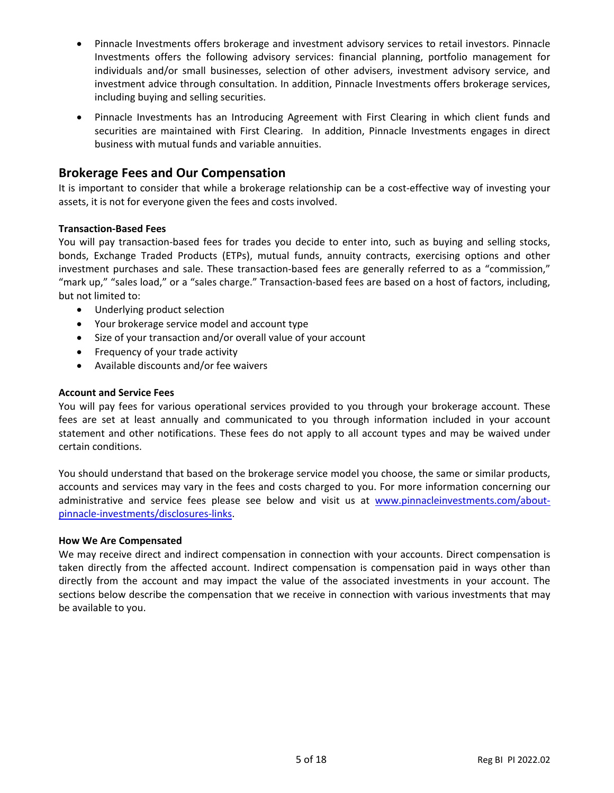- Pinnacle Investments offers brokerage and investment advisory services to retail investors. Pinnacle Investments offers the following advisory services: financial planning, portfolio management for individuals and/or small businesses, selection of other advisers, investment advisory service, and investment advice through consultation. In addition, Pinnacle Investments offers brokerage services, including buying and selling securities.
- Pinnacle Investments has an Introducing Agreement with First Clearing in which client funds and securities are maintained with First Clearing. In addition, Pinnacle Investments engages in direct business with mutual funds and variable annuities.

## **Brokerage Fees and Our Compensation**

It is important to consider that while a brokerage relationship can be a cost-effective way of investing your assets, it is not for everyone given the fees and costs involved.

### **Transaction-Based Fees**

You will pay transaction-based fees for trades you decide to enter into, such as buying and selling stocks, bonds, Exchange Traded Products (ETPs), mutual funds, annuity contracts, exercising options and other investment purchases and sale. These transaction-based fees are generally referred to as a "commission," "mark up," "sales load," or a "sales charge." Transaction-based fees are based on a host of factors, including, but not limited to:

- Underlying product selection
- Your brokerage service model and account type
- Size of your transaction and/or overall value of your account
- Frequency of your trade activity
- Available discounts and/or fee waivers

### **Account and Service Fees**

You will pay fees for various operational services provided to you through your brokerage account. These fees are set at least annually and communicated to you through information included in your account statement and other notifications. These fees do not apply to all account types and may be waived under certain conditions.

You should understand that based on the brokerage service model you choose, the same or similar products, accounts and services may vary in the fees and costs charged to you. For more information concerning our administrative and service fees please see below and visit us at [www.pinnacleinvestments.com/about](http://www.pinnacleinvestments.com/about-pinnacle-investments/disclosures-links)[pinnacle-investments/disclosures-links.](http://www.pinnacleinvestments.com/about-pinnacle-investments/disclosures-links)

### **How We Are Compensated**

We may receive direct and indirect compensation in connection with your accounts. Direct compensation is taken directly from the affected account. Indirect compensation is compensation paid in ways other than directly from the account and may impact the value of the associated investments in your account. The sections below describe the compensation that we receive in connection with various investments that may be available to you.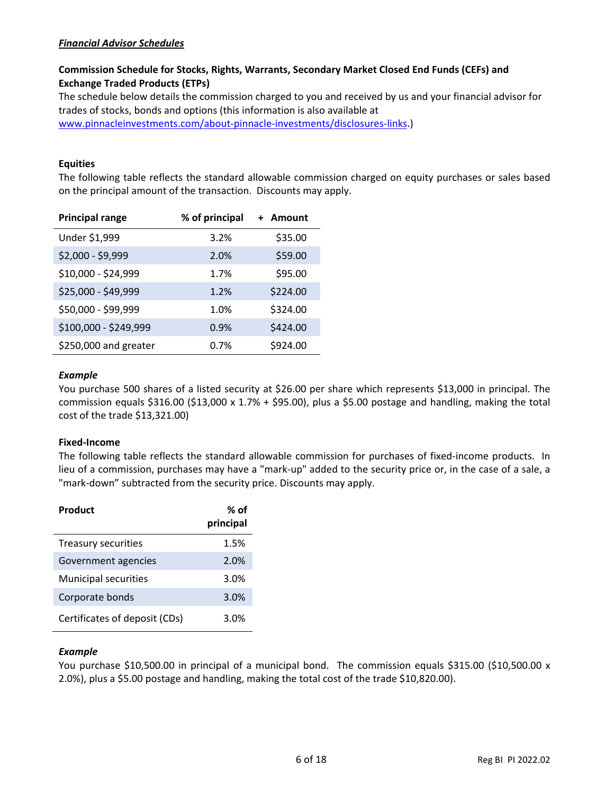### *Financial Advisor Schedules*

### **Commission Schedule for Stocks, Rights, Warrants, Secondary Market Closed End Funds (CEFs) and Exchange Traded Products (ETPs)**

The schedule below details the commission charged to you and received by us and your financial advisor for trades of stocks, bonds and options (this information is also available at

[www.pinnacleinvestments.com/about-pinnacle-investments/disclosures-links.](http://www.pinnacleinvestments.com/about-pinnacle-investments/disclosures-links))

### **Equities**

The following table reflects the standard allowable commission charged on equity purchases or sales based on the principal amount of the transaction. Discounts may apply.

| <b>Principal range</b> | % of principal | + Amount |
|------------------------|----------------|----------|
| Under \$1,999          | 3.2%           | \$35.00  |
| \$2,000 - \$9,999      | 2.0%           | \$59.00  |
| \$10,000 - \$24,999    | 1.7%           | \$95.00  |
| \$25,000 - \$49,999    | 1.2%           | \$224.00 |
| \$50,000 - \$99,999    | 1.0%           | \$324.00 |
| \$100,000 - \$249,999  | 0.9%           | \$424.00 |
| \$250,000 and greater  | 0.7%           | \$924.00 |

### *Example*

You purchase 500 shares of a listed security at \$26.00 per share which represents \$13,000 in principal. The commission equals  $$316.00$  ( $$13,000 \times 1.7\% + $95.00$ ), plus a  $$5.00$  postage and handling, making the total cost of the trade \$13,321.00)

### **Fixed-Income**

The following table reflects the standard allowable commission for purchases of fixed-income products. In lieu of a commission, purchases may have a "mark-up" added to the security price or, in the case of a sale, a "mark-down" subtracted from the security price. Discounts may apply.

| Product                       | % of<br>principal |
|-------------------------------|-------------------|
| Treasury securities           | 1.5%              |
| Government agencies           | 2.0%              |
| <b>Municipal securities</b>   | 3.0%              |
| Corporate bonds               | 3.0%              |
| Certificates of deposit (CDs) | 3.0%              |

### *Example*

You purchase \$10,500.00 in principal of a municipal bond. The commission equals \$315.00 (\$10,500.00 x 2.0%), plus a \$5.00 postage and handling, making the total cost of the trade \$10,820.00).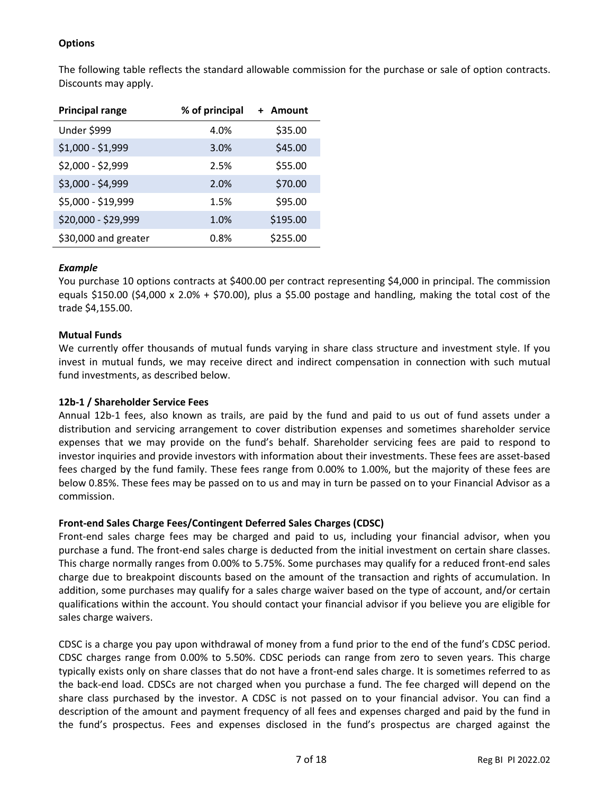### **Options**

The following table reflects the standard allowable commission for the purchase or sale of option contracts. Discounts may apply.

| <b>Principal range</b> | % of principal | + Amount |
|------------------------|----------------|----------|
| Under \$999            | 4.0%           | \$35.00  |
| $$1,000 - $1,999$      | 3.0%           | \$45.00  |
| \$2,000 - \$2,999      | 2.5%           | \$55.00  |
| \$3,000 - \$4,999      | 2.0%           | \$70.00  |
| \$5,000 - \$19,999     | 1.5%           | \$95.00  |
| \$20,000 - \$29,999    | 1.0%           | \$195.00 |
| \$30,000 and greater   | 0.8%           | \$255.00 |

### *Example*

You purchase 10 options contracts at \$400.00 per contract representing \$4,000 in principal. The commission equals \$150.00 (\$4,000 x 2.0% + \$70.00), plus a \$5.00 postage and handling, making the total cost of the trade \$4,155.00.

### **Mutual Funds**

We currently offer thousands of mutual funds varying in share class structure and investment style. If you invest in mutual funds, we may receive direct and indirect compensation in connection with such mutual fund investments, as described below.

### **12b-1 / Shareholder Service Fees**

Annual 12b-1 fees, also known as trails, are paid by the fund and paid to us out of fund assets under a distribution and servicing arrangement to cover distribution expenses and sometimes shareholder service expenses that we may provide on the fund's behalf. Shareholder servicing fees are paid to respond to investor inquiries and provide investors with information about their investments. These fees are asset-based fees charged by the fund family. These fees range from 0.00% to 1.00%, but the majority of these fees are below 0.85%. These fees may be passed on to us and may in turn be passed on to your Financial Advisor as a commission.

### **Front-end Sales Charge Fees/Contingent Deferred Sales Charges (CDSC)**

Front-end sales charge fees may be charged and paid to us, including your financial advisor, when you purchase a fund. The front-end sales charge is deducted from the initial investment on certain share classes. This charge normally ranges from 0.00% to 5.75%. Some purchases may qualify for a reduced front-end sales charge due to breakpoint discounts based on the amount of the transaction and rights of accumulation. In addition, some purchases may qualify for a sales charge waiver based on the type of account, and/or certain qualifications within the account. You should contact your financial advisor if you believe you are eligible for sales charge waivers.

CDSC is a charge you pay upon withdrawal of money from a fund prior to the end of the fund's CDSC period. CDSC charges range from 0.00% to 5.50%. CDSC periods can range from zero to seven years. This charge typically exists only on share classes that do not have a front-end sales charge. It is sometimes referred to as the back-end load. CDSCs are not charged when you purchase a fund. The fee charged will depend on the share class purchased by the investor. A CDSC is not passed on to your financial advisor. You can find a description of the amount and payment frequency of all fees and expenses charged and paid by the fund in the fund's prospectus. Fees and expenses disclosed in the fund's prospectus are charged against the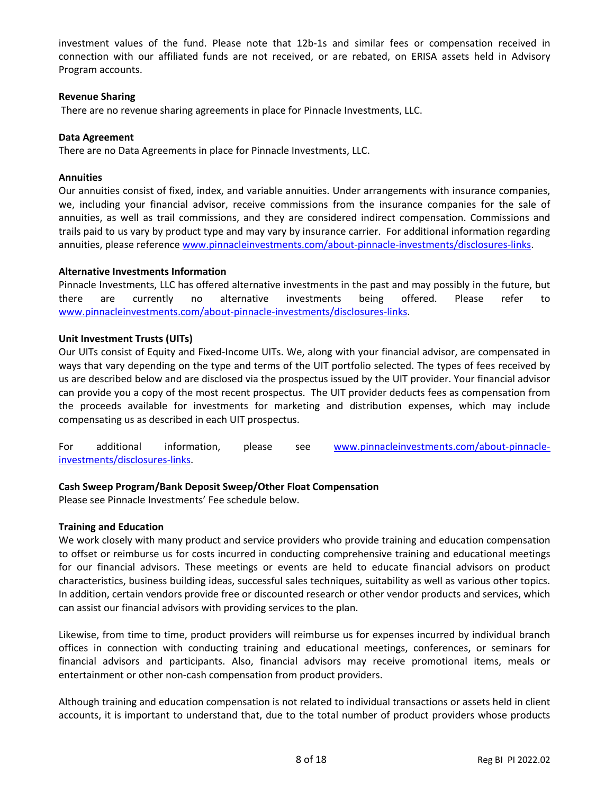investment values of the fund. Please note that 12b-1s and similar fees or compensation received in connection with our affiliated funds are not received, or are rebated, on ERISA assets held in Advisory Program accounts.

### **Revenue Sharing**

There are no revenue sharing agreements in place for Pinnacle Investments, LLC.

### **Data Agreement**

There are no Data Agreements in place for Pinnacle Investments, LLC.

### **Annuities**

Our annuities consist of fixed, index, and variable annuities. Under arrangements with insurance companies, we, including your financial advisor, receive commissions from the insurance companies for the sale of annuities, as well as trail commissions, and they are considered indirect compensation. Commissions and trails paid to us vary by product type and may vary by insurance carrier. For additional information regarding annuities, please reference [www.pinnacleinvestments.com/about-pinnacle-investments/disclosures-links.](http://www.pinnacleinvestments.com/about-pinnacle-investments/disclosures-links)

### **Alternative Investments Information**

Pinnacle Investments, LLC has offered alternative investments in the past and may possibly in the future, but there are currently no alternative investments being offered. Please refer to [www.pinnacleinvestments.com/about-pinnacle-investments/disclosures-links.](http://www.pinnacleinvestments.com/about-pinnacle-investments/disclosures-links)

### **Unit Investment Trusts (UITs)**

Our UITs consist of Equity and Fixed-Income UITs. We, along with your financial advisor, are compensated in ways that vary depending on the type and terms of the UIT portfolio selected. The types of fees received by us are described below and are disclosed via the prospectus issued by the UIT provider. Your financial advisor can provide you a copy of the most recent prospectus. The UIT provider deducts fees as compensation from the proceeds available for investments for marketing and distribution expenses, which may include compensating us as described in each UIT prospectus.

For additional information, please see [www.pinnacleinvestments.com/about-pinnacle](http://www.pinnacleinvestments.com/about-pinnacle-investments/disclosures-links)[investments/disclosures-links.](http://www.pinnacleinvestments.com/about-pinnacle-investments/disclosures-links)

### **Cash Sweep Program/Bank Deposit Sweep/Other Float Compensation**

Please see Pinnacle Investments' Fee schedule below.

### **Training and Education**

We work closely with many product and service providers who provide training and education compensation to offset or reimburse us for costs incurred in conducting comprehensive training and educational meetings for our financial advisors. These meetings or events are held to educate financial advisors on product characteristics, business building ideas, successful sales techniques, suitability as well as various other topics. In addition, certain vendors provide free or discounted research or other vendor products and services, which can assist our financial advisors with providing services to the plan.

Likewise, from time to time, product providers will reimburse us for expenses incurred by individual branch offices in connection with conducting training and educational meetings, conferences, or seminars for financial advisors and participants. Also, financial advisors may receive promotional items, meals or entertainment or other non-cash compensation from product providers.

Although training and education compensation is not related to individual transactions or assets held in client accounts, it is important to understand that, due to the total number of product providers whose products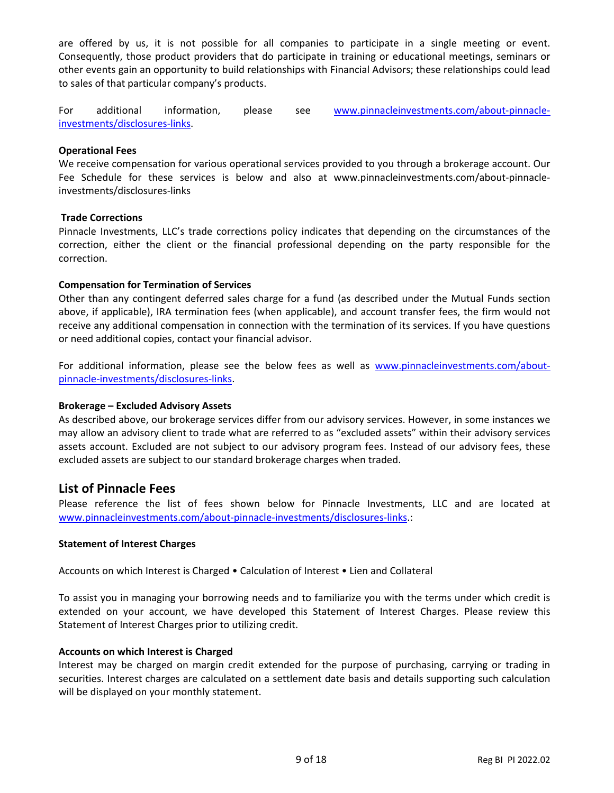are offered by us, it is not possible for all companies to participate in a single meeting or event. Consequently, those product providers that do participate in training or educational meetings, seminars or other events gain an opportunity to build relationships with Financial Advisors; these relationships could lead to sales of that particular company's products.

For additional information, please see [www.pinnacleinvestments.com/about-pinnacle](http://www.pinnacleinvestments.com/about-pinnacle-investments/disclosures-links)[investments/disclosures-links.](http://www.pinnacleinvestments.com/about-pinnacle-investments/disclosures-links)

### **Operational Fees**

We receive compensation for various operational services provided to you through a brokerage account. Our Fee Schedule for these services is below and also at www.pinnacleinvestments.com/about-pinnacleinvestments/disclosures-links

### **Trade Corrections**

Pinnacle Investments, LLC's trade corrections policy indicates that depending on the circumstances of the correction, either the client or the financial professional depending on the party responsible for the correction.

### **Compensation for Termination of Services**

Other than any contingent deferred sales charge for a fund (as described under the Mutual Funds section above, if applicable), IRA termination fees (when applicable), and account transfer fees, the firm would not receive any additional compensation in connection with the termination of its services. If you have questions or need additional copies, contact your financial advisor.

For additional information, please see the below fees as well as [www.pinnacleinvestments.com/about](http://www.pinnacleinvestments.com/about-pinnacle-investments/disclosures-links)[pinnacle-investments/disclosures-links.](http://www.pinnacleinvestments.com/about-pinnacle-investments/disclosures-links)

### **Brokerage – Excluded Advisory Assets**

As described above, our brokerage services differ from our advisory services. However, in some instances we may allow an advisory client to trade what are referred to as "excluded assets" within their advisory services assets account. Excluded are not subject to our advisory program fees. Instead of our advisory fees, these excluded assets are subject to our standard brokerage charges when traded.

### **List of Pinnacle Fees**

Please reference the list of fees shown below for Pinnacle Investments, LLC and are located at [www.pinnacleinvestments.com/about-pinnacle-investments/disclosures-links.](http://www.pinnacleinvestments.com/about-pinnacle-investments/disclosures-links):

### **Statement of Interest Charges**

Accounts on which Interest is Charged • Calculation of Interest • Lien and Collateral

To assist you in managing your borrowing needs and to familiarize you with the terms under which credit is extended on your account, we have developed this Statement of Interest Charges. Please review this Statement of Interest Charges prior to utilizing credit.

### **Accounts on which Interest is Charged**

Interest may be charged on margin credit extended for the purpose of purchasing, carrying or trading in securities. Interest charges are calculated on a settlement date basis and details supporting such calculation will be displayed on your monthly statement.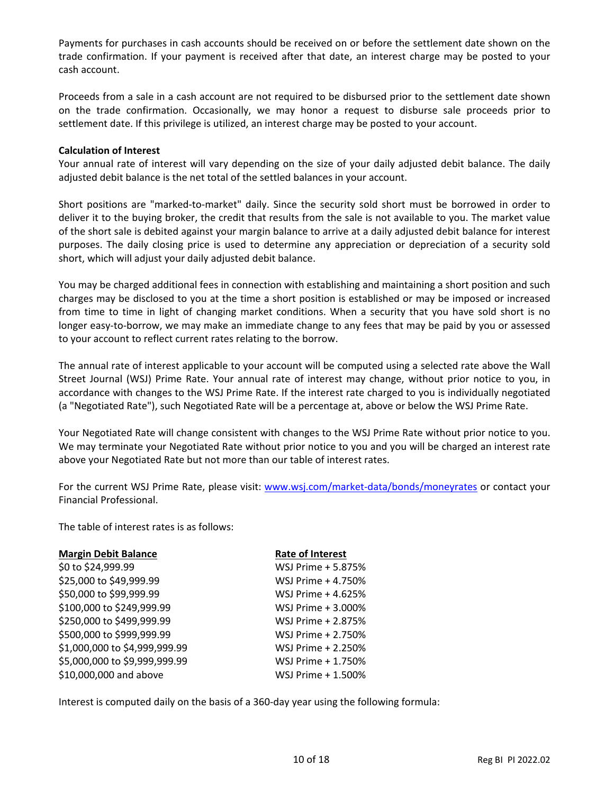Payments for purchases in cash accounts should be received on or before the settlement date shown on the trade confirmation. If your payment is received after that date, an interest charge may be posted to your cash account.

Proceeds from a sale in a cash account are not required to be disbursed prior to the settlement date shown on the trade confirmation. Occasionally, we may honor a request to disburse sale proceeds prior to settlement date. If this privilege is utilized, an interest charge may be posted to your account.

### **Calculation of Interest**

Your annual rate of interest will vary depending on the size of your daily adjusted debit balance. The daily adjusted debit balance is the net total of the settled balances in your account.

Short positions are "marked-to-market" daily. Since the security sold short must be borrowed in order to deliver it to the buying broker, the credit that results from the sale is not available to you. The market value of the short sale is debited against your margin balance to arrive at a daily adjusted debit balance for interest purposes. The daily closing price is used to determine any appreciation or depreciation of a security sold short, which will adjust your daily adjusted debit balance.

You may be charged additional fees in connection with establishing and maintaining a short position and such charges may be disclosed to you at the time a short position is established or may be imposed or increased from time to time in light of changing market conditions. When a security that you have sold short is no longer easy-to-borrow, we may make an immediate change to any fees that may be paid by you or assessed to your account to reflect current rates relating to the borrow.

The annual rate of interest applicable to your account will be computed using a selected rate above the Wall Street Journal (WSJ) Prime Rate. Your annual rate of interest may change, without prior notice to you, in accordance with changes to the WSJ Prime Rate. If the interest rate charged to you is individually negotiated (a "Negotiated Rate"), such Negotiated Rate will be a percentage at, above or below the WSJ Prime Rate.

Your Negotiated Rate will change consistent with changes to the WSJ Prime Rate without prior notice to you. We may terminate your Negotiated Rate without prior notice to you and you will be charged an interest rate above your Negotiated Rate but not more than our table of interest rates.

For the current WSJ Prime Rate, please visit: [www.wsj.com/market-data/bonds/moneyrates](http://www.wsj.com/market-data/bonds/moneyrates) or contact your Financial Professional.

The table of interest rates is as follows:

| <b>Margin Debit Balance</b>   | <b>Rate of Interest</b> |
|-------------------------------|-------------------------|
| \$0 to \$24,999.99            | WSJ Prime + 5.875%      |
| \$25,000 to \$49,999.99       | WSJ Prime + 4.750%      |
| \$50,000 to \$99,999.99       | WSJ Prime + 4.625%      |
| \$100,000 to \$249,999.99     | WSJ Prime + 3.000%      |
| \$250,000 to \$499,999.99     | WSJ Prime + 2.875%      |
| \$500,000 to \$999,999.99     | WSJ Prime + 2.750%      |
| \$1,000,000 to \$4,999,999.99 | WSJ Prime + 2.250%      |
| \$5,000,000 to \$9,999,999.99 | WSJ Prime + 1.750%      |
| \$10,000,000 and above        | WSJ Prime + 1.500%      |
|                               |                         |

Interest is computed daily on the basis of a 360-day year using the following formula: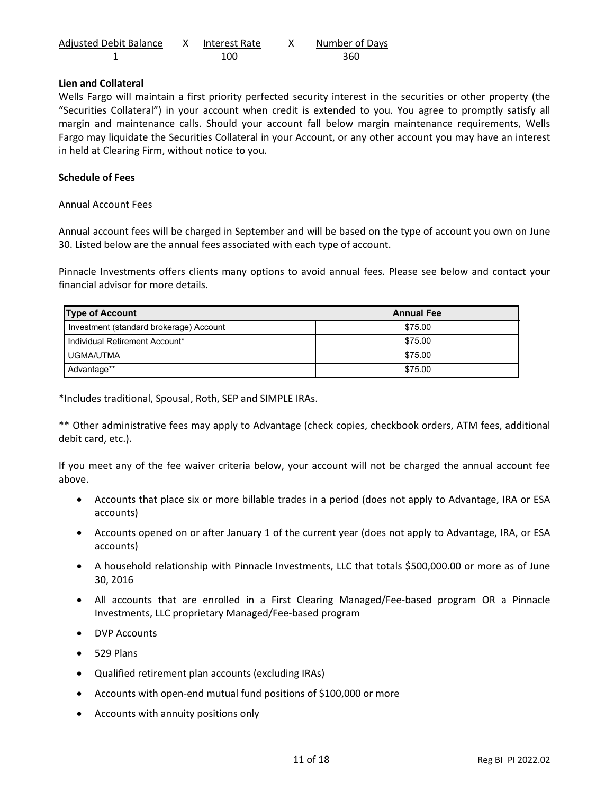| <b>Adjusted Debit Balance</b> | Interest Rate | Number of Days |
|-------------------------------|---------------|----------------|
|                               | 100.          | 360            |

### **Lien and Collateral**

Wells Fargo will maintain a first priority perfected security interest in the securities or other property (the "Securities Collateral") in your account when credit is extended to you. You agree to promptly satisfy all margin and maintenance calls. Should your account fall below margin maintenance requirements, Wells Fargo may liquidate the Securities Collateral in your Account, or any other account you may have an interest in held at Clearing Firm, without notice to you.

### **Schedule of Fees**

Annual Account Fees

Annual account fees will be charged in September and will be based on the type of account you own on June 30. Listed below are the annual fees associated with each type of account.

Pinnacle Investments offers clients many options to avoid annual fees. Please see below and contact your financial advisor for more details.

| <b>Type of Account</b>                  | <b>Annual Fee</b> |  |
|-----------------------------------------|-------------------|--|
| Investment (standard brokerage) Account | \$75.00           |  |
| Individual Retirement Account*          | \$75.00           |  |
| UGMA/UTMA                               | \$75.00           |  |
| Advantage**                             | \$75.00           |  |

\*Includes traditional, Spousal, Roth, SEP and SIMPLE IRAs.

\*\* Other administrative fees may apply to Advantage (check copies, checkbook orders, ATM fees, additional debit card, etc.).

If you meet any of the fee waiver criteria below, your account will not be charged the annual account fee above.

- Accounts that place six or more billable trades in a period (does not apply to Advantage, IRA or ESA accounts)
- Accounts opened on or after January 1 of the current year (does not apply to Advantage, IRA, or ESA accounts)
- A household relationship with Pinnacle Investments, LLC that totals \$500,000.00 or more as of June 30, 2016
- All accounts that are enrolled in a First Clearing Managed/Fee-based program OR a Pinnacle Investments, LLC proprietary Managed/Fee-based program
- DVP Accounts
- 529 Plans
- Qualified retirement plan accounts (excluding IRAs)
- Accounts with open-end mutual fund positions of \$100,000 or more
- Accounts with annuity positions only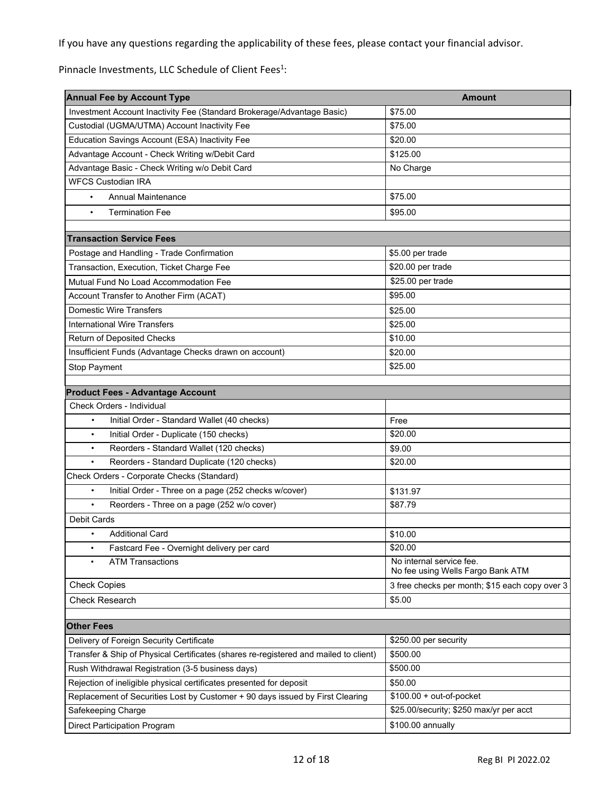If you have any questions regarding the applicability of these fees, please contact your financial advisor.

Pinnacle Investments, LLC Schedule of Client Fees<sup>1</sup>:

| <b>Annual Fee by Account Type</b>                                                                                                                    | <b>Amount</b>                                                 |
|------------------------------------------------------------------------------------------------------------------------------------------------------|---------------------------------------------------------------|
| Investment Account Inactivity Fee (Standard Brokerage/Advantage Basic)                                                                               | \$75.00                                                       |
| Custodial (UGMA/UTMA) Account Inactivity Fee                                                                                                         | \$75.00                                                       |
| Education Savings Account (ESA) Inactivity Fee                                                                                                       | \$20.00                                                       |
| Advantage Account - Check Writing w/Debit Card                                                                                                       | \$125.00                                                      |
| Advantage Basic - Check Writing w/o Debit Card                                                                                                       | No Charge                                                     |
| <b>WFCS Custodian IRA</b>                                                                                                                            |                                                               |
| <b>Annual Maintenance</b><br>$\bullet$                                                                                                               | \$75.00                                                       |
| <b>Termination Fee</b><br>$\bullet$                                                                                                                  | \$95.00                                                       |
|                                                                                                                                                      |                                                               |
| <b>Transaction Service Fees</b>                                                                                                                      |                                                               |
| Postage and Handling - Trade Confirmation                                                                                                            | \$5.00 per trade                                              |
| Transaction, Execution, Ticket Charge Fee                                                                                                            | \$20.00 per trade                                             |
| Mutual Fund No Load Accommodation Fee                                                                                                                | \$25.00 per trade                                             |
| Account Transfer to Another Firm (ACAT)                                                                                                              | \$95.00                                                       |
| <b>Domestic Wire Transfers</b>                                                                                                                       | \$25.00                                                       |
| <b>International Wire Transfers</b>                                                                                                                  | \$25.00                                                       |
| <b>Return of Deposited Checks</b>                                                                                                                    | \$10.00                                                       |
| Insufficient Funds (Advantage Checks drawn on account)                                                                                               | \$20.00                                                       |
| Stop Payment                                                                                                                                         | \$25.00                                                       |
| <b>Product Fees - Advantage Account</b>                                                                                                              |                                                               |
| Check Orders - Individual                                                                                                                            |                                                               |
| Initial Order - Standard Wallet (40 checks)<br>$\bullet$                                                                                             | Free                                                          |
| Initial Order - Duplicate (150 checks)<br>$\bullet$                                                                                                  | \$20.00                                                       |
| Reorders - Standard Wallet (120 checks)<br>$\bullet$                                                                                                 | \$9.00                                                        |
| Reorders - Standard Duplicate (120 checks)<br>$\bullet$                                                                                              | \$20.00                                                       |
| Check Orders - Corporate Checks (Standard)                                                                                                           |                                                               |
| Initial Order - Three on a page (252 checks w/cover)<br>$\bullet$                                                                                    | \$131.97                                                      |
| Reorders - Three on a page (252 w/o cover)<br>$\bullet$                                                                                              | \$87.79                                                       |
| <b>Debit Cards</b>                                                                                                                                   |                                                               |
| <b>Additional Card</b><br>$\bullet$                                                                                                                  | \$10.00                                                       |
| Fastcard Fee - Overnight delivery per card<br>$\bullet$                                                                                              | \$20.00                                                       |
| <b>ATM Transactions</b>                                                                                                                              | No internal service fee.<br>No fee using Wells Fargo Bank ATM |
| <b>Check Copies</b>                                                                                                                                  | 3 free checks per month; \$15 each copy over 3                |
| <b>Check Research</b>                                                                                                                                | \$5.00                                                        |
|                                                                                                                                                      |                                                               |
| <b>Other Fees</b>                                                                                                                                    |                                                               |
| Delivery of Foreign Security Certificate<br>Transfer & Ship of Physical Certificates (shares re-registered and mailed to client)                     | \$250.00 per security<br>\$500.00                             |
|                                                                                                                                                      | \$500.00                                                      |
| Rush Withdrawal Registration (3-5 business days)                                                                                                     |                                                               |
| Rejection of ineligible physical certificates presented for deposit<br>Replacement of Securities Lost by Customer + 90 days issued by First Clearing | \$50.00<br>$$100.00 + out-of-pocket$                          |
| Safekeeping Charge                                                                                                                                   | \$25.00/security; \$250 max/yr per acct                       |
|                                                                                                                                                      |                                                               |
| <b>Direct Participation Program</b>                                                                                                                  | \$100.00 annually                                             |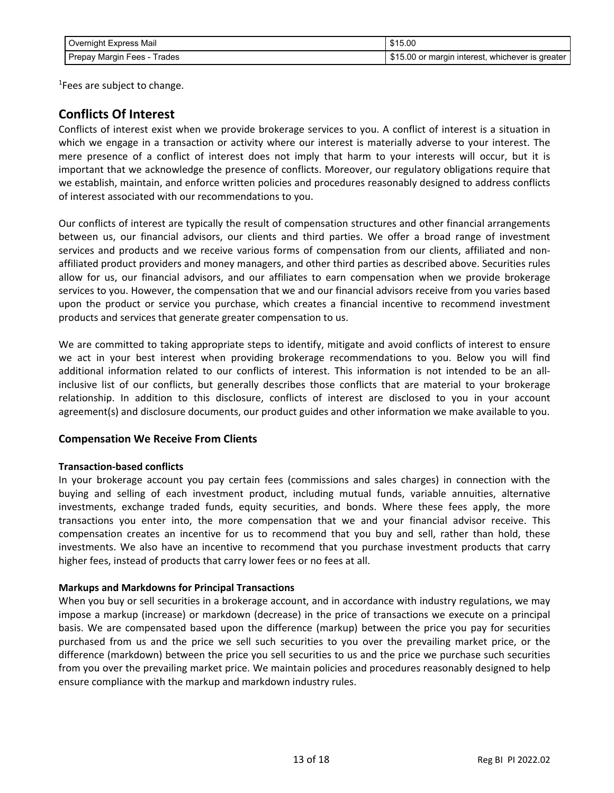| Overnight Express Mail      | \$15.00                                         |
|-----------------------------|-------------------------------------------------|
| Prepay Margin Fees - Trades | S15.00 or margin interest, whichever is greater |

<sup>1</sup>Fees are subject to change.

## **Conflicts Of Interest**

Conflicts of interest exist when we provide brokerage services to you. A conflict of interest is a situation in which we engage in a transaction or activity where our interest is materially adverse to your interest. The mere presence of a conflict of interest does not imply that harm to your interests will occur, but it is important that we acknowledge the presence of conflicts. Moreover, our regulatory obligations require that we establish, maintain, and enforce written policies and procedures reasonably designed to address conflicts of interest associated with our recommendations to you.

Our conflicts of interest are typically the result of compensation structures and other financial arrangements between us, our financial advisors, our clients and third parties. We offer a broad range of investment services and products and we receive various forms of compensation from our clients, affiliated and nonaffiliated product providers and money managers, and other third parties as described above. Securities rules allow for us, our financial advisors, and our affiliates to earn compensation when we provide brokerage services to you. However, the compensation that we and our financial advisors receive from you varies based upon the product or service you purchase, which creates a financial incentive to recommend investment products and services that generate greater compensation to us.

We are committed to taking appropriate steps to identify, mitigate and avoid conflicts of interest to ensure we act in your best interest when providing brokerage recommendations to you. Below you will find additional information related to our conflicts of interest. This information is not intended to be an allinclusive list of our conflicts, but generally describes those conflicts that are material to your brokerage relationship. In addition to this disclosure, conflicts of interest are disclosed to you in your account agreement(s) and disclosure documents, our product guides and other information we make available to you.

### **Compensation We Receive From Clients**

### **Transaction-based conflicts**

In your brokerage account you pay certain fees (commissions and sales charges) in connection with the buying and selling of each investment product, including mutual funds, variable annuities, alternative investments, exchange traded funds, equity securities, and bonds. Where these fees apply, the more transactions you enter into, the more compensation that we and your financial advisor receive. This compensation creates an incentive for us to recommend that you buy and sell, rather than hold, these investments. We also have an incentive to recommend that you purchase investment products that carry higher fees, instead of products that carry lower fees or no fees at all.

### **Markups and Markdowns for Principal Transactions**

When you buy or sell securities in a brokerage account, and in accordance with industry regulations, we may impose a markup (increase) or markdown (decrease) in the price of transactions we execute on a principal basis. We are compensated based upon the difference (markup) between the price you pay for securities purchased from us and the price we sell such securities to you over the prevailing market price, or the difference (markdown) between the price you sell securities to us and the price we purchase such securities from you over the prevailing market price. We maintain policies and procedures reasonably designed to help ensure compliance with the markup and markdown industry rules.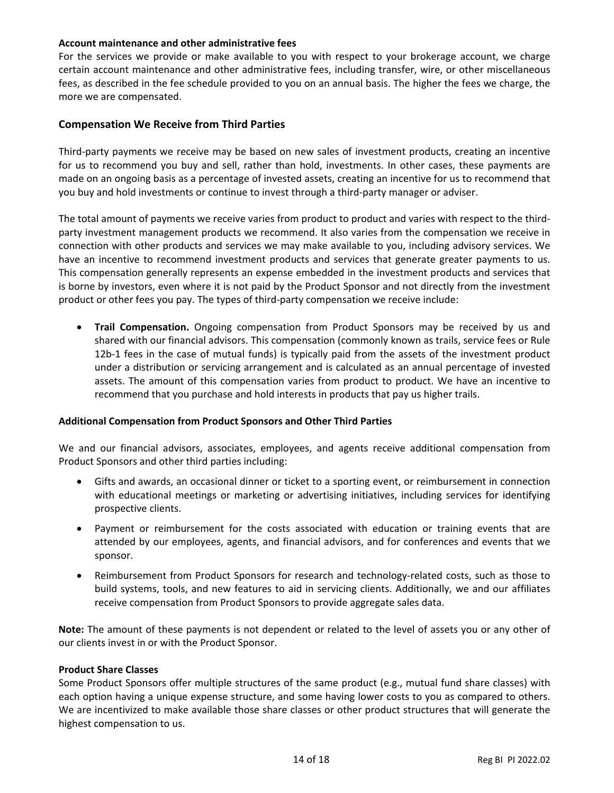### **Account maintenance and other administrative fees**

For the services we provide or make available to you with respect to your brokerage account, we charge certain account maintenance and other administrative fees, including transfer, wire, or other miscellaneous fees, as described in the fee schedule provided to you on an annual basis. The higher the fees we charge, the more we are compensated.

### **Compensation We Receive from Third Parties**

Third-party payments we receive may be based on new sales of investment products, creating an incentive for us to recommend you buy and sell, rather than hold, investments. In other cases, these payments are made on an ongoing basis as a percentage of invested assets, creating an incentive for us to recommend that you buy and hold investments or continue to invest through a third-party manager or adviser.

The total amount of payments we receive varies from product to product and varies with respect to the thirdparty investment management products we recommend. It also varies from the compensation we receive in connection with other products and services we may make available to you, including advisory services. We have an incentive to recommend investment products and services that generate greater payments to us. This compensation generally represents an expense embedded in the investment products and services that is borne by investors, even where it is not paid by the Product Sponsor and not directly from the investment product or other fees you pay. The types of third-party compensation we receive include:

• **Trail Compensation.** Ongoing compensation from Product Sponsors may be received by us and shared with our financial advisors. This compensation (commonly known as trails, service fees or Rule 12b-1 fees in the case of mutual funds) is typically paid from the assets of the investment product under a distribution or servicing arrangement and is calculated as an annual percentage of invested assets. The amount of this compensation varies from product to product. We have an incentive to recommend that you purchase and hold interests in products that pay us higher trails.

### **Additional Compensation from Product Sponsors and Other Third Parties**

We and our financial advisors, associates, employees, and agents receive additional compensation from Product Sponsors and other third parties including:

- Gifts and awards, an occasional dinner or ticket to a sporting event, or reimbursement in connection with educational meetings or marketing or advertising initiatives, including services for identifying prospective clients.
- Payment or reimbursement for the costs associated with education or training events that are attended by our employees, agents, and financial advisors, and for conferences and events that we sponsor.
- Reimbursement from Product Sponsors for research and technology-related costs, such as those to build systems, tools, and new features to aid in servicing clients. Additionally, we and our affiliates receive compensation from Product Sponsors to provide aggregate sales data.

**Note:** The amount of these payments is not dependent or related to the level of assets you or any other of our clients invest in or with the Product Sponsor.

### **Product Share Classes**

Some Product Sponsors offer multiple structures of the same product (e.g., mutual fund share classes) with each option having a unique expense structure, and some having lower costs to you as compared to others. We are incentivized to make available those share classes or other product structures that will generate the highest compensation to us.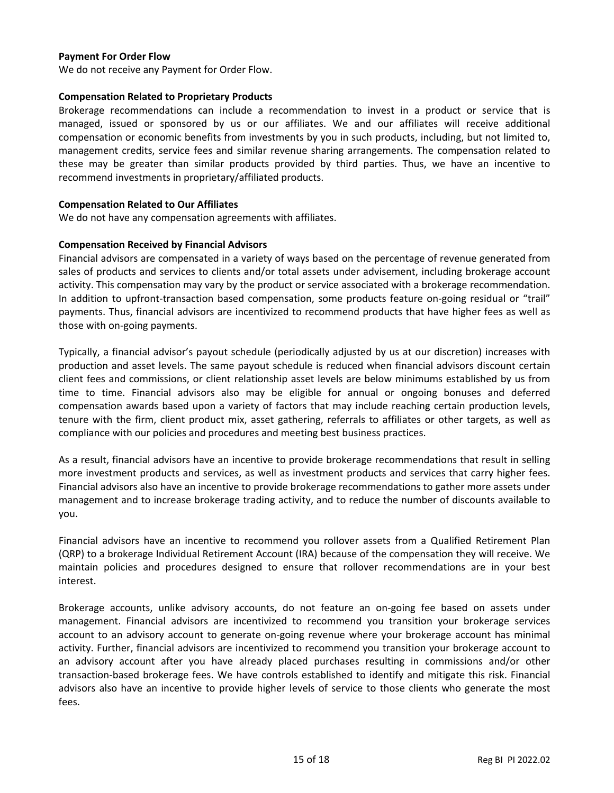### **Payment For Order Flow**

We do not receive any Payment for Order Flow.

### **Compensation Related to Proprietary Products**

Brokerage recommendations can include a recommendation to invest in a product or service that is managed, issued or sponsored by us or our affiliates. We and our affiliates will receive additional compensation or economic benefits from investments by you in such products, including, but not limited to, management credits, service fees and similar revenue sharing arrangements. The compensation related to these may be greater than similar products provided by third parties. Thus, we have an incentive to recommend investments in proprietary/affiliated products.

### **Compensation Related to Our Affiliates**

We do not have any compensation agreements with affiliates.

### **Compensation Received by Financial Advisors**

Financial advisors are compensated in a variety of ways based on the percentage of revenue generated from sales of products and services to clients and/or total assets under advisement, including brokerage account activity. This compensation may vary by the product or service associated with a brokerage recommendation. In addition to upfront-transaction based compensation, some products feature on-going residual or "trail" payments. Thus, financial advisors are incentivized to recommend products that have higher fees as well as those with on-going payments.

Typically, a financial advisor's payout schedule (periodically adjusted by us at our discretion) increases with production and asset levels. The same payout schedule is reduced when financial advisors discount certain client fees and commissions, or client relationship asset levels are below minimums established by us from time to time. Financial advisors also may be eligible for annual or ongoing bonuses and deferred compensation awards based upon a variety of factors that may include reaching certain production levels, tenure with the firm, client product mix, asset gathering, referrals to affiliates or other targets, as well as compliance with our policies and procedures and meeting best business practices.

As a result, financial advisors have an incentive to provide brokerage recommendations that result in selling more investment products and services, as well as investment products and services that carry higher fees. Financial advisors also have an incentive to provide brokerage recommendations to gather more assets under management and to increase brokerage trading activity, and to reduce the number of discounts available to you.

Financial advisors have an incentive to recommend you rollover assets from a Qualified Retirement Plan (QRP) to a brokerage Individual Retirement Account (IRA) because of the compensation they will receive. We maintain policies and procedures designed to ensure that rollover recommendations are in your best interest.

Brokerage accounts, unlike advisory accounts, do not feature an on-going fee based on assets under management. Financial advisors are incentivized to recommend you transition your brokerage services account to an advisory account to generate on-going revenue where your brokerage account has minimal activity. Further, financial advisors are incentivized to recommend you transition your brokerage account to an advisory account after you have already placed purchases resulting in commissions and/or other transaction-based brokerage fees. We have controls established to identify and mitigate this risk. Financial advisors also have an incentive to provide higher levels of service to those clients who generate the most fees.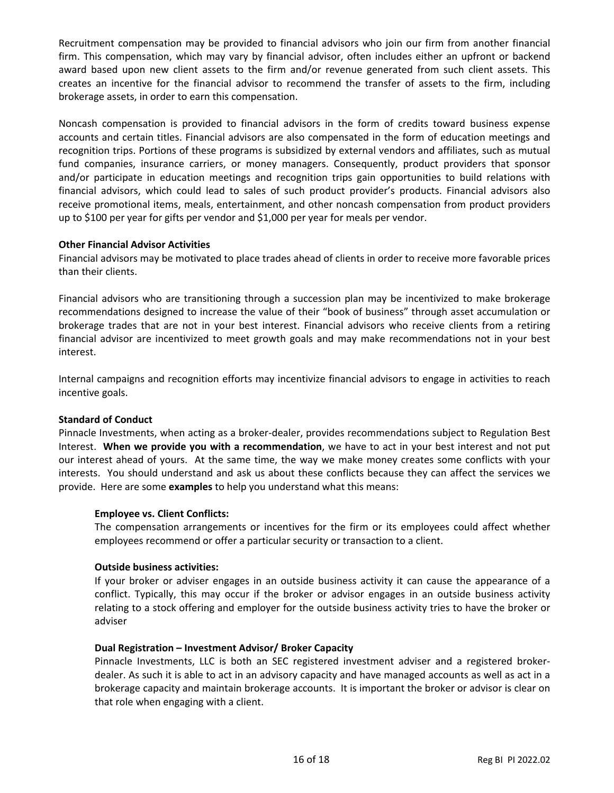Recruitment compensation may be provided to financial advisors who join our firm from another financial firm. This compensation, which may vary by financial advisor, often includes either an upfront or backend award based upon new client assets to the firm and/or revenue generated from such client assets. This creates an incentive for the financial advisor to recommend the transfer of assets to the firm, including brokerage assets, in order to earn this compensation.

Noncash compensation is provided to financial advisors in the form of credits toward business expense accounts and certain titles. Financial advisors are also compensated in the form of education meetings and recognition trips. Portions of these programs is subsidized by external vendors and affiliates, such as mutual fund companies, insurance carriers, or money managers. Consequently, product providers that sponsor and/or participate in education meetings and recognition trips gain opportunities to build relations with financial advisors, which could lead to sales of such product provider's products. Financial advisors also receive promotional items, meals, entertainment, and other noncash compensation from product providers up to \$100 per year for gifts per vendor and \$1,000 per year for meals per vendor.

### **Other Financial Advisor Activities**

Financial advisors may be motivated to place trades ahead of clients in order to receive more favorable prices than their clients.

Financial advisors who are transitioning through a succession plan may be incentivized to make brokerage recommendations designed to increase the value of their "book of business" through asset accumulation or brokerage trades that are not in your best interest. Financial advisors who receive clients from a retiring financial advisor are incentivized to meet growth goals and may make recommendations not in your best interest.

Internal campaigns and recognition efforts may incentivize financial advisors to engage in activities to reach incentive goals.

### **Standard of Conduct**

Pinnacle Investments, when acting as a broker-dealer, provides recommendations subject to Regulation Best Interest. **When we provide you with a recommendation**, we have to act in your best interest and not put our interest ahead of yours. At the same time, the way we make money creates some conflicts with your interests. You should understand and ask us about these conflicts because they can affect the services we provide. Here are some **examples** to help you understand what this means:

### **Employee vs. Client Conflicts:**

The compensation arrangements or incentives for the firm or its employees could affect whether employees recommend or offer a particular security or transaction to a client.

### **Outside business activities:**

If your broker or adviser engages in an outside business activity it can cause the appearance of a conflict. Typically, this may occur if the broker or advisor engages in an outside business activity relating to a stock offering and employer for the outside business activity tries to have the broker or adviser

### **Dual Registration – Investment Advisor/ Broker Capacity**

Pinnacle Investments, LLC is both an SEC registered investment adviser and a registered brokerdealer. As such it is able to act in an advisory capacity and have managed accounts as well as act in a brokerage capacity and maintain brokerage accounts. It is important the broker or advisor is clear on that role when engaging with a client.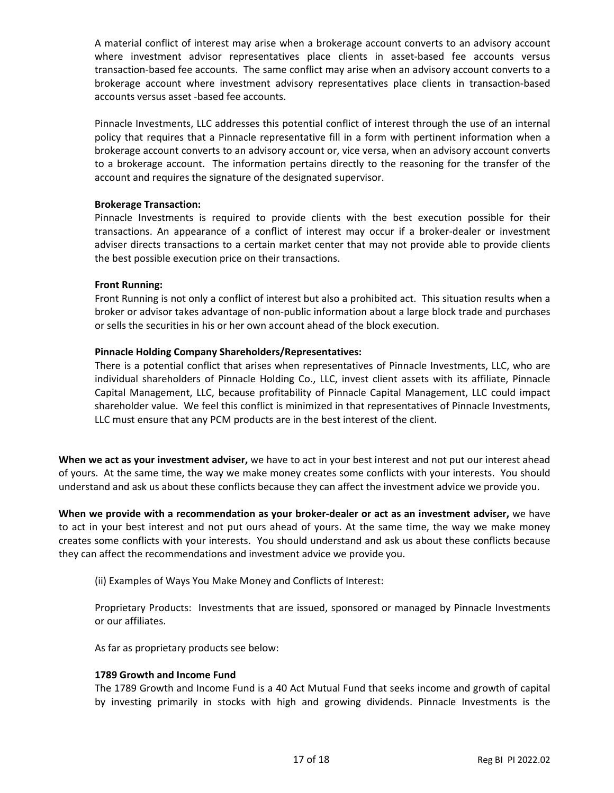A material conflict of interest may arise when a brokerage account converts to an advisory account where investment advisor representatives place clients in asset-based fee accounts versus transaction-based fee accounts. The same conflict may arise when an advisory account converts to a brokerage account where investment advisory representatives place clients in transaction-based accounts versus asset -based fee accounts.

Pinnacle Investments, LLC addresses this potential conflict of interest through the use of an internal policy that requires that a Pinnacle representative fill in a form with pertinent information when a brokerage account converts to an advisory account or, vice versa, when an advisory account converts to a brokerage account. The information pertains directly to the reasoning for the transfer of the account and requires the signature of the designated supervisor.

### **Brokerage Transaction:**

Pinnacle Investments is required to provide clients with the best execution possible for their transactions. An appearance of a conflict of interest may occur if a broker-dealer or investment adviser directs transactions to a certain market center that may not provide able to provide clients the best possible execution price on their transactions.

### **Front Running:**

Front Running is not only a conflict of interest but also a prohibited act. This situation results when a broker or advisor takes advantage of non-public information about a large block trade and purchases or sells the securities in his or her own account ahead of the block execution.

### **Pinnacle Holding Company Shareholders/Representatives:**

There is a potential conflict that arises when representatives of Pinnacle Investments, LLC, who are individual shareholders of Pinnacle Holding Co., LLC, invest client assets with its affiliate, Pinnacle Capital Management, LLC, because profitability of Pinnacle Capital Management, LLC could impact shareholder value. We feel this conflict is minimized in that representatives of Pinnacle Investments, LLC must ensure that any PCM products are in the best interest of the client.

**When we act as your investment adviser,** we have to act in your best interest and not put our interest ahead of yours. At the same time, the way we make money creates some conflicts with your interests. You should understand and ask us about these conflicts because they can affect the investment advice we provide you.

**When we provide with a recommendation as your broker-dealer or act as an investment adviser,** we have to act in your best interest and not put ours ahead of yours. At the same time, the way we make money creates some conflicts with your interests. You should understand and ask us about these conflicts because they can affect the recommendations and investment advice we provide you.

(ii) Examples of Ways You Make Money and Conflicts of Interest:

Proprietary Products: Investments that are issued, sponsored or managed by Pinnacle Investments or our affiliates.

As far as proprietary products see below:

### **1789 Growth and Income Fund**

The 1789 Growth and Income Fund is a 40 Act Mutual Fund that seeks income and growth of capital by investing primarily in stocks with high and growing dividends. Pinnacle Investments is the